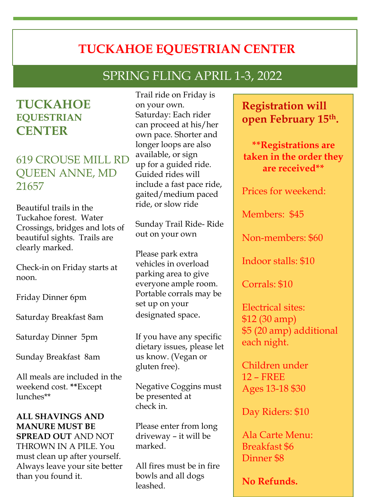# **TUCKAHOE EQUESTRIAN CENTER**

# SPRING FLING APRIL 1-3, 2022

## **TUCKAHOE EQUESTRIAN CENTER**

619 CROUSE MILL RD QUEEN ANNE, MD 21657

Beautiful trails in the Tuckahoe forest. Water Crossings, bridges and lots of beautiful sights. Trails are clearly marked.

Check-in on Friday starts at noon.

Friday Dinner 6pm

Saturday Breakfast 8am

Saturday Dinner 5pm

Sunday Breakfast 8am

All meals are included in the weekend cost. **\*\***Except lunches\*\*

#### **ALL SHAVINGS AND MANURE MUST BE SPREAD OUT** AND NOT THROWN IN A PILE. You must clean up after yourself. Always leave your site better than you found it.

Trail ride on Friday is on your own. Saturday: Each rider can proceed at his/her own pace. Shorter and longer loops are also available, or sign up for a guided ride. Guided rides will include a fast pace ride, gaited/medium paced ride, or slow ride

Sunday Trail Ride- Ride out on your own

Please park extra vehicles in overload parking area to give everyone ample room. Portable corrals may be set up on your designated space.

If you have any specific dietary issues, please let us know. (Vegan or gluten free).

Negative Coggins must be presented at check in.

Please enter from long driveway – it will be marked.

All fires must be in fire bowls and all dogs leashed.

## **Registration will open February 15th.**

**\*\*Registrations are taken in the order they are received\*\***

Prices for weekend:

Members: \$45

Non-members: \$60

Indoor stalls: \$10

Corrals: \$10

Electrical sites: \$12 (30 amp) \$5 (20 amp) additional each night.

Children under 12 – FREE Ages 13-18 \$30

Day Riders: \$10

Ala Carte Menu: Breakfast \$6 Dinner \$8

**No Refunds.**